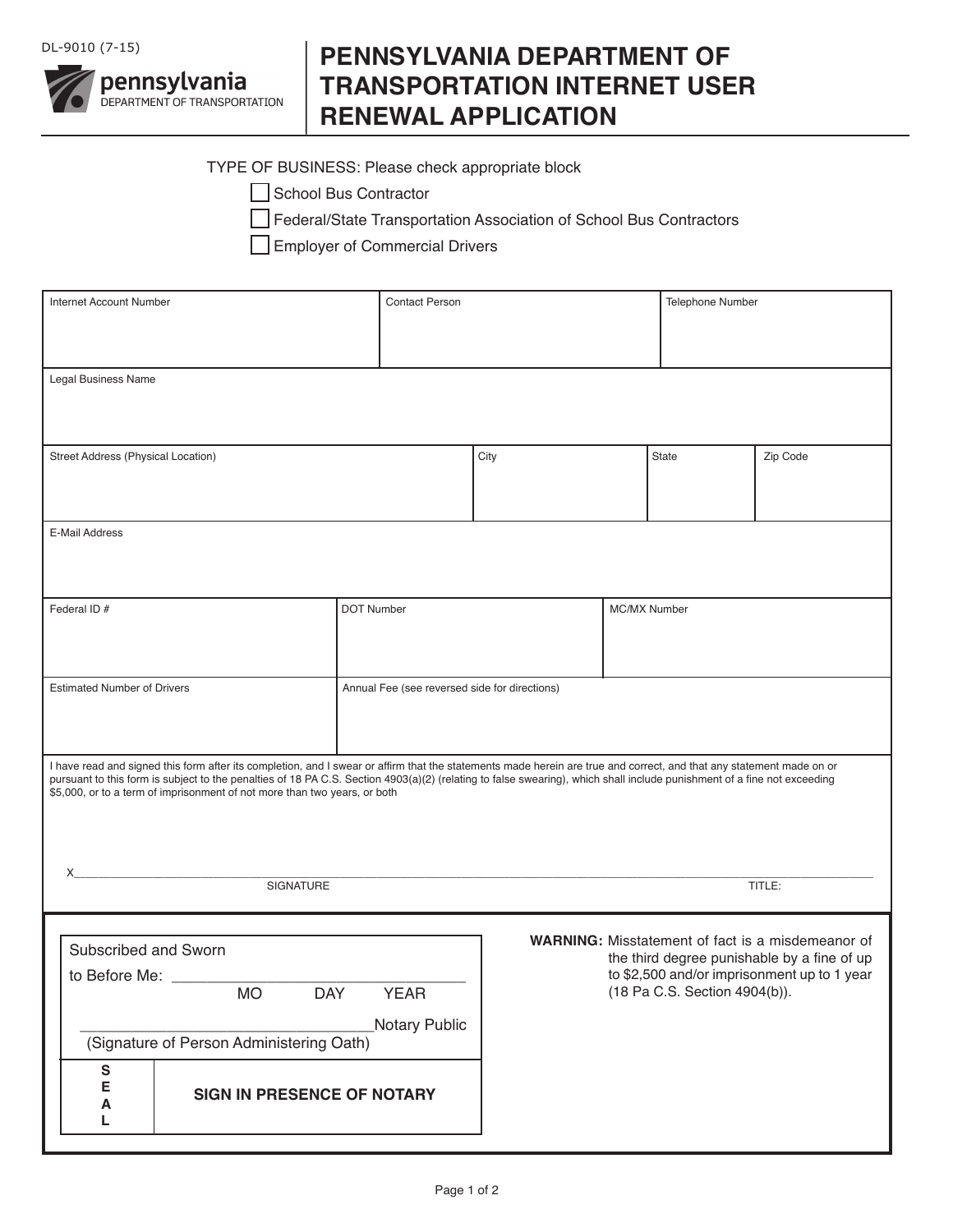

## **PENNSYLVANIA DEPARTMENT OF TRANSPORTATION INTERNET USER RENEWAL APPLICATION**

## TYPE OF BUSINESS: Please check appropriate block

| School Bus Contractor |
|-----------------------|
|-----------------------|

Federal/State Transportation Association of School Bus Contractors

Employer of Commercial Drivers

| Internet Account Number                                                                                                                                                                                                                                                                                                                         |  |  | <b>Contact Person</b> |                                                                              |              |          | Telephone Number |  |
|-------------------------------------------------------------------------------------------------------------------------------------------------------------------------------------------------------------------------------------------------------------------------------------------------------------------------------------------------|--|--|-----------------------|------------------------------------------------------------------------------|--------------|----------|------------------|--|
|                                                                                                                                                                                                                                                                                                                                                 |  |  |                       |                                                                              |              |          |                  |  |
|                                                                                                                                                                                                                                                                                                                                                 |  |  |                       |                                                                              |              |          |                  |  |
| Legal Business Name                                                                                                                                                                                                                                                                                                                             |  |  |                       |                                                                              |              |          |                  |  |
|                                                                                                                                                                                                                                                                                                                                                 |  |  |                       |                                                                              |              |          |                  |  |
|                                                                                                                                                                                                                                                                                                                                                 |  |  |                       |                                                                              |              |          |                  |  |
| <b>Street Address (Physical Location)</b>                                                                                                                                                                                                                                                                                                       |  |  | City                  |                                                                              | <b>State</b> | Zip Code |                  |  |
|                                                                                                                                                                                                                                                                                                                                                 |  |  |                       |                                                                              |              |          |                  |  |
|                                                                                                                                                                                                                                                                                                                                                 |  |  |                       |                                                                              |              |          |                  |  |
| E-Mail Address                                                                                                                                                                                                                                                                                                                                  |  |  |                       |                                                                              |              |          |                  |  |
|                                                                                                                                                                                                                                                                                                                                                 |  |  |                       |                                                                              |              |          |                  |  |
|                                                                                                                                                                                                                                                                                                                                                 |  |  |                       |                                                                              |              |          |                  |  |
| Federal ID #<br><b>DOT Number</b>                                                                                                                                                                                                                                                                                                               |  |  | MC/MX Number          |                                                                              |              |          |                  |  |
|                                                                                                                                                                                                                                                                                                                                                 |  |  |                       |                                                                              |              |          |                  |  |
|                                                                                                                                                                                                                                                                                                                                                 |  |  |                       |                                                                              |              |          |                  |  |
| <b>Estimated Number of Drivers</b><br>Annual Fee (see reversed side for directions)                                                                                                                                                                                                                                                             |  |  |                       |                                                                              |              |          |                  |  |
|                                                                                                                                                                                                                                                                                                                                                 |  |  |                       |                                                                              |              |          |                  |  |
|                                                                                                                                                                                                                                                                                                                                                 |  |  |                       |                                                                              |              |          |                  |  |
|                                                                                                                                                                                                                                                                                                                                                 |  |  |                       |                                                                              |              |          |                  |  |
| I have read and signed this form after its completion, and I swear or affirm that the statements made herein are true and correct, and that any statement made on or<br>pursuant to this form is subject to the penalties of 18 PA C.S. Section 4903(a)(2) (relating to false swearing), which shall include punishment of a fine not exceeding |  |  |                       |                                                                              |              |          |                  |  |
| \$5,000, or to a term of imprisonment of not more than two years, or both                                                                                                                                                                                                                                                                       |  |  |                       |                                                                              |              |          |                  |  |
|                                                                                                                                                                                                                                                                                                                                                 |  |  |                       |                                                                              |              |          |                  |  |
|                                                                                                                                                                                                                                                                                                                                                 |  |  |                       |                                                                              |              |          |                  |  |
| X<br>SIGNATURE                                                                                                                                                                                                                                                                                                                                  |  |  |                       |                                                                              |              |          | TITLE:           |  |
|                                                                                                                                                                                                                                                                                                                                                 |  |  |                       |                                                                              |              |          |                  |  |
|                                                                                                                                                                                                                                                                                                                                                 |  |  |                       |                                                                              |              |          |                  |  |
| WARNING: Misstatement of fact is a misdemeanor of<br>Subscribed and Sworn<br>the third degree punishable by a fine of up                                                                                                                                                                                                                        |  |  |                       |                                                                              |              |          |                  |  |
| to Before Me:<br><b>DAY</b><br><b>YEAR</b><br><b>MO</b>                                                                                                                                                                                                                                                                                         |  |  |                       | to \$2,500 and/or imprisonment up to 1 year<br>(18 Pa C.S. Section 4904(b)). |              |          |                  |  |
|                                                                                                                                                                                                                                                                                                                                                 |  |  |                       |                                                                              |              |          |                  |  |
| <b>Notary Public</b>                                                                                                                                                                                                                                                                                                                            |  |  |                       |                                                                              |              |          |                  |  |
| (Signature of Person Administering Oath)                                                                                                                                                                                                                                                                                                        |  |  |                       |                                                                              |              |          |                  |  |
| ${\sf s}$                                                                                                                                                                                                                                                                                                                                       |  |  |                       |                                                                              |              |          |                  |  |
| E<br><b>SIGN IN PRESENCE OF NOTARY</b><br>A                                                                                                                                                                                                                                                                                                     |  |  |                       |                                                                              |              |          |                  |  |
| L                                                                                                                                                                                                                                                                                                                                               |  |  |                       |                                                                              |              |          |                  |  |
|                                                                                                                                                                                                                                                                                                                                                 |  |  |                       |                                                                              |              |          |                  |  |